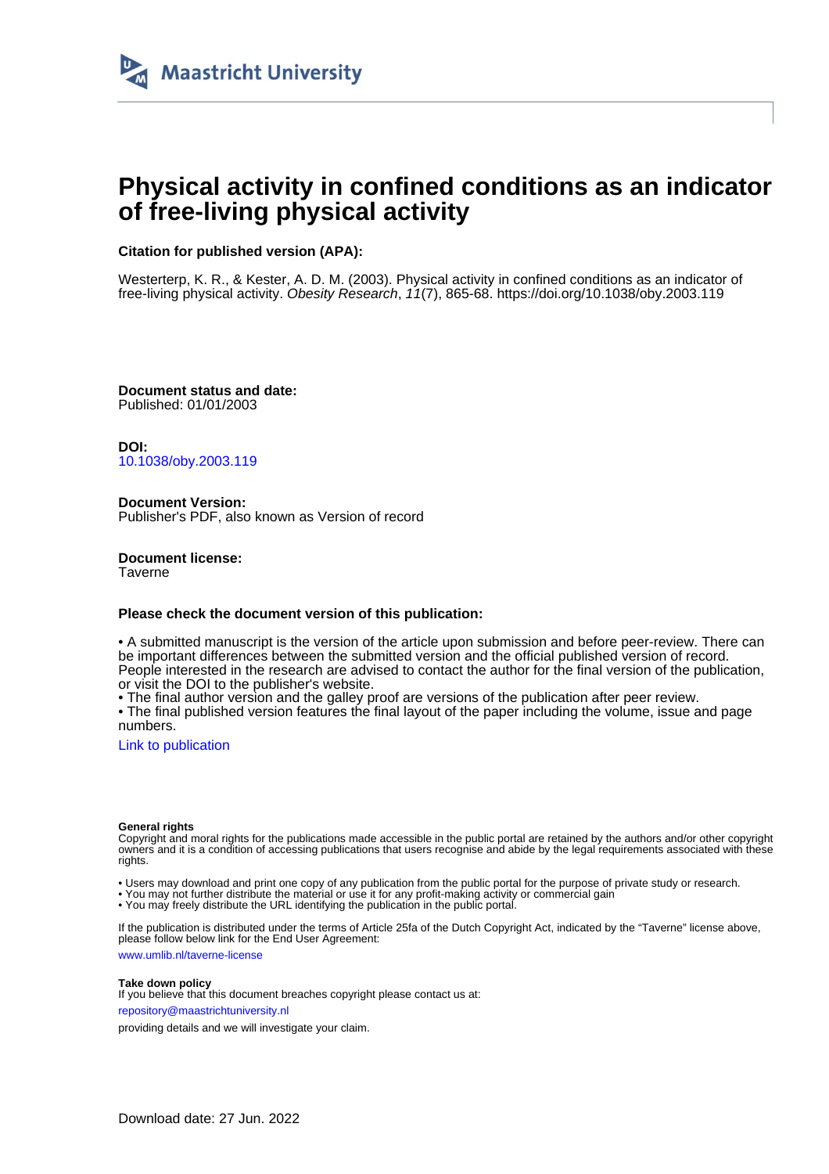

# **Physical activity in confined conditions as an indicator of free-living physical activity**

# **Citation for published version (APA):**

Westerterp, K. R., & Kester, A. D. M. (2003). Physical activity in confined conditions as an indicator of free-living physical activity. Obesity Research, 11(7), 865-68. <https://doi.org/10.1038/oby.2003.119>

**Document status and date:** Published: 01/01/2003

**DOI:** [10.1038/oby.2003.119](https://doi.org/10.1038/oby.2003.119)

**Document Version:** Publisher's PDF, also known as Version of record

**Document license: Taverne** 

#### **Please check the document version of this publication:**

• A submitted manuscript is the version of the article upon submission and before peer-review. There can be important differences between the submitted version and the official published version of record. People interested in the research are advised to contact the author for the final version of the publication, or visit the DOI to the publisher's website.

• The final author version and the galley proof are versions of the publication after peer review.

• The final published version features the final layout of the paper including the volume, issue and page numbers.

[Link to publication](https://cris.maastrichtuniversity.nl/en/publications/e0b48f74-1809-4d8a-9fdd-0e87b258d4d7)

#### **General rights**

Copyright and moral rights for the publications made accessible in the public portal are retained by the authors and/or other copyright owners and it is a condition of accessing publications that users recognise and abide by the legal requirements associated with these rights.

• Users may download and print one copy of any publication from the public portal for the purpose of private study or research.

• You may not further distribute the material or use it for any profit-making activity or commercial gain

• You may freely distribute the URL identifying the publication in the public portal.

If the publication is distributed under the terms of Article 25fa of the Dutch Copyright Act, indicated by the "Taverne" license above, please follow below link for the End User Agreement:

www.umlib.nl/taverne-license

#### **Take down policy**

If you believe that this document breaches copyright please contact us at: repository@maastrichtuniversity.nl

providing details and we will investigate your claim.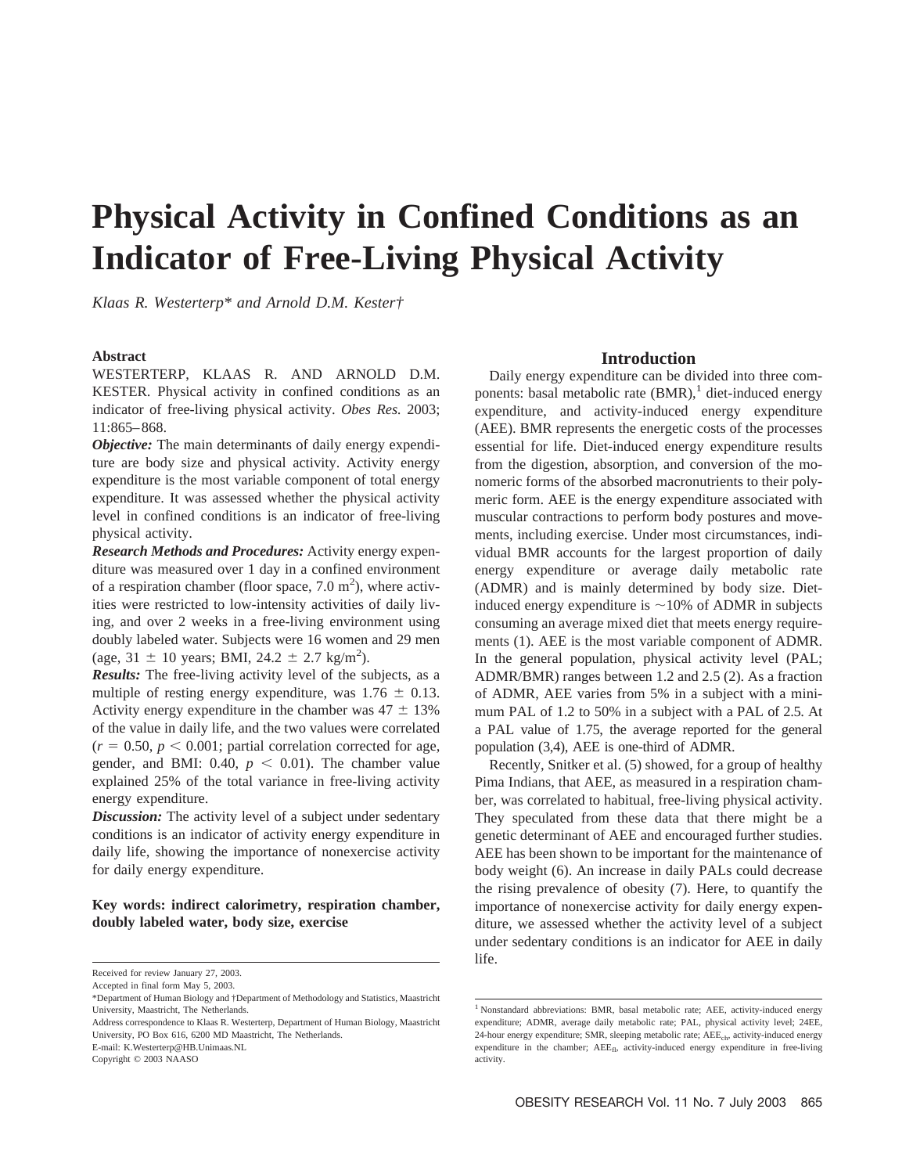# **Physical Activity in Confined Conditions as an Indicator of Free-Living Physical Activity**

*Klaas R. Westerterp\* and Arnold D.M. Kester†*

#### **Abstract**

WESTERTERP, KLAAS R. AND ARNOLD D.M. KESTER. Physical activity in confined conditions as an indicator of free-living physical activity. *Obes Res.* 2003; 11:865–868.

*Objective:* The main determinants of daily energy expenditure are body size and physical activity. Activity energy expenditure is the most variable component of total energy expenditure. It was assessed whether the physical activity level in confined conditions is an indicator of free-living physical activity.

*Research Methods and Procedures:* Activity energy expenditure was measured over 1 day in a confined environment of a respiration chamber (floor space,  $7.0 \text{ m}^2$ ), where activities were restricted to low-intensity activities of daily living, and over 2 weeks in a free-living environment using doubly labeled water. Subjects were 16 women and 29 men (age,  $31 \pm 10$  years; BMI,  $24.2 \pm 2.7$  kg/m<sup>2</sup>).

*Results:* The free-living activity level of the subjects, as a multiple of resting energy expenditure, was  $1.76 \pm 0.13$ . Activity energy expenditure in the chamber was  $47 \pm 13\%$ of the value in daily life, and the two values were correlated  $(r = 0.50, p < 0.001$ ; partial correlation corrected for age, gender, and BMI: 0.40,  $p < 0.01$ ). The chamber value explained 25% of the total variance in free-living activity energy expenditure.

*Discussion:* The activity level of a subject under sedentary conditions is an indicator of activity energy expenditure in daily life, showing the importance of nonexercise activity for daily energy expenditure.

# **Key words: indirect calorimetry, respiration chamber, doubly labeled water, body size, exercise**

Address correspondence to Klaas R. Westerterp, Department of Human Biology, Maastricht University, PO Box 616, 6200 MD Maastricht, The Netherlands.

E-mail: K.Westerterp@HB.Unimaas.NL

Copyright © 2003 NAASO

# **Introduction**

Daily energy expenditure can be divided into three components: basal metabolic rate  $(BMR)$ , diet-induced energy expenditure, and activity-induced energy expenditure (AEE). BMR represents the energetic costs of the processes essential for life. Diet-induced energy expenditure results from the digestion, absorption, and conversion of the monomeric forms of the absorbed macronutrients to their polymeric form. AEE is the energy expenditure associated with muscular contractions to perform body postures and movements, including exercise. Under most circumstances, individual BMR accounts for the largest proportion of daily energy expenditure or average daily metabolic rate (ADMR) and is mainly determined by body size. Dietinduced energy expenditure is  $\sim$ 10% of ADMR in subjects consuming an average mixed diet that meets energy requirements (1). AEE is the most variable component of ADMR. In the general population, physical activity level (PAL; ADMR/BMR) ranges between 1.2 and 2.5 (2). As a fraction of ADMR, AEE varies from 5% in a subject with a minimum PAL of 1.2 to 50% in a subject with a PAL of 2.5. At a PAL value of 1.75, the average reported for the general population (3,4), AEE is one-third of ADMR.

Recently, Snitker et al. (5) showed, for a group of healthy Pima Indians, that AEE, as measured in a respiration chamber, was correlated to habitual, free-living physical activity. They speculated from these data that there might be a genetic determinant of AEE and encouraged further studies. AEE has been shown to be important for the maintenance of body weight (6). An increase in daily PALs could decrease the rising prevalence of obesity (7). Here, to quantify the importance of nonexercise activity for daily energy expenditure, we assessed whether the activity level of a subject under sedentary conditions is an indicator for AEE in daily life.

Received for review January 27, 2003.

Accepted in final form May 5, 2003.

<sup>\*</sup>Department of Human Biology and †Department of Methodology and Statistics, Maastricht University, Maastricht, The Netherlands.

<sup>&</sup>lt;sup>1</sup> Nonstandard abbreviations: BMR, basal metabolic rate; AEE, activity-induced energy expenditure; ADMR, average daily metabolic rate; PAL, physical activity level; 24EE, 24-hour energy expenditure; SMR, sleeping metabolic rate; AEE<sub>ch</sub>, activity-induced energy expenditure in the chamber;  $AEE_{fl}$ , activity-induced energy expenditure in free-living activity.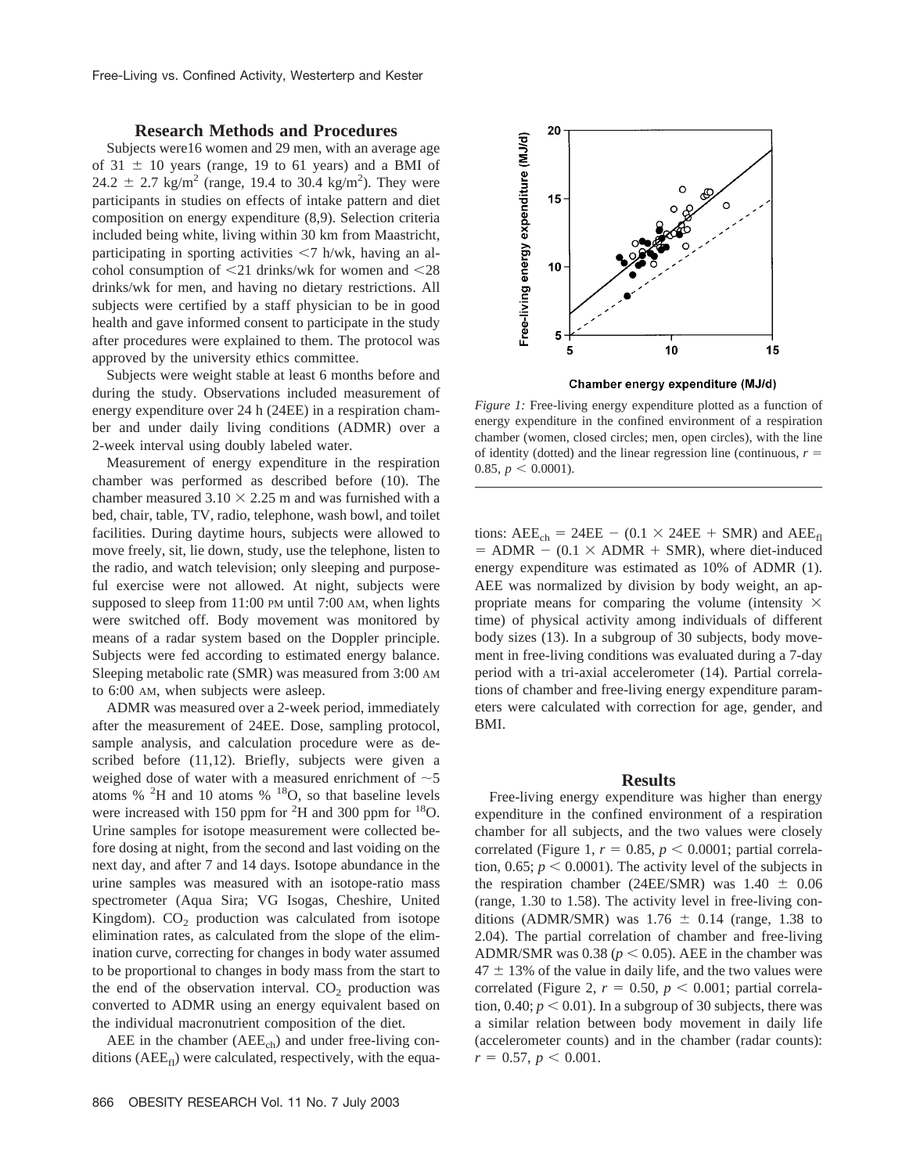## **Research Methods and Procedures**

Subjects were16 women and 29 men, with an average age of  $31 \pm 10$  years (range, 19 to 61 years) and a BMI of 24.2  $\pm$  2.7 kg/m<sup>2</sup> (range, 19.4 to 30.4 kg/m<sup>2</sup>). They were participants in studies on effects of intake pattern and diet composition on energy expenditure (8,9). Selection criteria included being white, living within 30 km from Maastricht, participating in sporting activities  $\langle 7 \text{ h/wk} \rangle$ , having an alcohol consumption of  $\leq$ 21 drinks/wk for women and  $\leq$ 28 drinks/wk for men, and having no dietary restrictions. All subjects were certified by a staff physician to be in good health and gave informed consent to participate in the study after procedures were explained to them. The protocol was approved by the university ethics committee.

Subjects were weight stable at least 6 months before and during the study. Observations included measurement of energy expenditure over 24 h (24EE) in a respiration chamber and under daily living conditions (ADMR) over a 2-week interval using doubly labeled water.

Measurement of energy expenditure in the respiration chamber was performed as described before (10). The chamber measured  $3.10 \times 2.25$  m and was furnished with a bed, chair, table, TV, radio, telephone, wash bowl, and toilet facilities. During daytime hours, subjects were allowed to move freely, sit, lie down, study, use the telephone, listen to the radio, and watch television; only sleeping and purposeful exercise were not allowed. At night, subjects were supposed to sleep from 11:00 PM until 7:00 AM, when lights were switched off. Body movement was monitored by means of a radar system based on the Doppler principle. Subjects were fed according to estimated energy balance. Sleeping metabolic rate (SMR) was measured from 3:00 AM to 6:00 AM, when subjects were asleep.

ADMR was measured over a 2-week period, immediately after the measurement of 24EE. Dose, sampling protocol, sample analysis, and calculation procedure were as described before (11,12). Briefly, subjects were given a weighed dose of water with a measured enrichment of  $\sim$  5 atoms %  $^{2}H$  and 10 atoms %  $^{18}O$ , so that baseline levels were increased with 150 ppm for  ${}^{2}$ H and 300 ppm for  ${}^{18}$ O. Urine samples for isotope measurement were collected before dosing at night, from the second and last voiding on the next day, and after 7 and 14 days. Isotope abundance in the urine samples was measured with an isotope-ratio mass spectrometer (Aqua Sira; VG Isogas, Cheshire, United Kingdom).  $CO<sub>2</sub>$  production was calculated from isotope elimination rates, as calculated from the slope of the elimination curve, correcting for changes in body water assumed to be proportional to changes in body mass from the start to the end of the observation interval.  $CO<sub>2</sub>$  production was converted to ADMR using an energy equivalent based on the individual macronutrient composition of the diet.

AEE in the chamber  $(AEE_{ch})$  and under free-living conditions ( $AEE_{fl}$ ) were calculated, respectively, with the equa-



Chamber energy expenditure (MJ/d)

*Figure 1:* Free-living energy expenditure plotted as a function of energy expenditure in the confined environment of a respiration chamber (women, closed circles; men, open circles), with the line of identity (dotted) and the linear regression line (continuous,  $r =$ 0.85,  $p < 0.0001$ ).

tions:  $AEE_{ch} = 24EE - (0.1 \times 24EE + SMR)$  and  $AEE_{fl}$  $=$  ADMR  $-$  (0.1  $\times$  ADMR  $+$  SMR), where diet-induced energy expenditure was estimated as 10% of ADMR (1). AEE was normalized by division by body weight, an appropriate means for comparing the volume (intensity  $\times$ time) of physical activity among individuals of different body sizes (13). In a subgroup of 30 subjects, body movement in free-living conditions was evaluated during a 7-day period with a tri-axial accelerometer (14). Partial correlations of chamber and free-living energy expenditure parameters were calculated with correction for age, gender, and BMI.

#### **Results**

Free-living energy expenditure was higher than energy expenditure in the confined environment of a respiration chamber for all subjects, and the two values were closely correlated (Figure 1,  $r = 0.85$ ,  $p < 0.0001$ ; partial correlation, 0.65;  $p < 0.0001$ ). The activity level of the subjects in the respiration chamber (24EE/SMR) was  $1.40 \pm 0.06$ (range, 1.30 to 1.58). The activity level in free-living conditions (ADMR/SMR) was  $1.76 \pm 0.14$  (range, 1.38 to 2.04). The partial correlation of chamber and free-living ADMR/SMR was 0.38 ( $p < 0.05$ ). AEE in the chamber was  $47 \pm 13\%$  of the value in daily life, and the two values were correlated (Figure 2,  $r = 0.50$ ,  $p < 0.001$ ; partial correlation,  $0.40; p \le 0.01$ ). In a subgroup of 30 subjects, there was a similar relation between body movement in daily life (accelerometer counts) and in the chamber (radar counts):  $r = 0.57, p < 0.001.$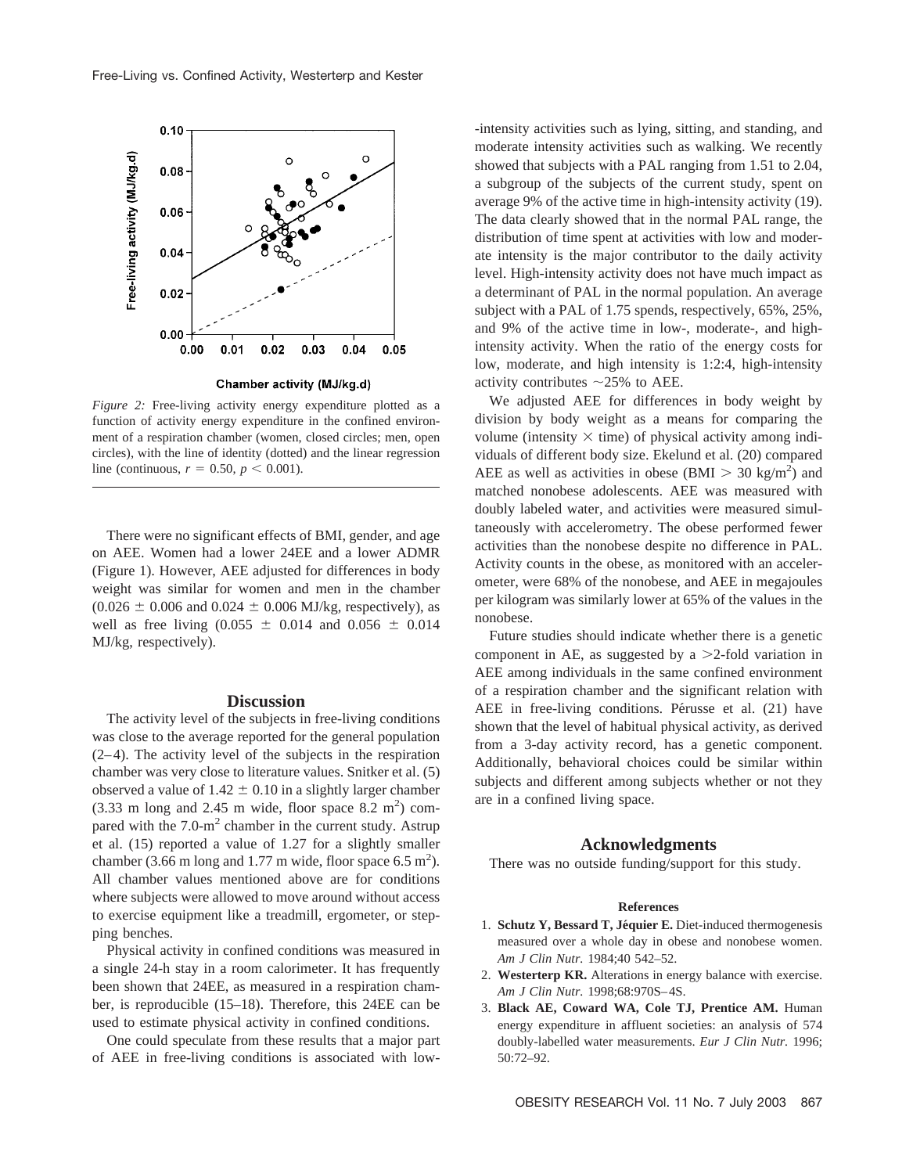

*Figure 2:* Free-living activity energy expenditure plotted as a function of activity energy expenditure in the confined environment of a respiration chamber (women, closed circles; men, open circles), with the line of identity (dotted) and the linear regression line (continuous,  $r = 0.50, p < 0.001$ ).

There were no significant effects of BMI, gender, and age on AEE. Women had a lower 24EE and a lower ADMR (Figure 1). However, AEE adjusted for differences in body weight was similar for women and men in the chamber  $(0.026 \pm 0.006$  and  $0.024 \pm 0.006$  MJ/kg, respectively), as well as free living  $(0.055 \pm 0.014$  and  $0.056 \pm 0.014$ MJ/kg, respectively).

#### **Discussion**

The activity level of the subjects in free-living conditions was close to the average reported for the general population (2–4). The activity level of the subjects in the respiration chamber was very close to literature values. Snitker et al. (5) observed a value of  $1.42 \pm 0.10$  in a slightly larger chamber  $(3.33 \text{ m long and } 2.45 \text{ m wide, floor space } 8.2 \text{ m}^2)$  compared with the  $7.0\text{-m}^2$  chamber in the current study. Astrup et al. (15) reported a value of 1.27 for a slightly smaller chamber (3.66 m long and 1.77 m wide, floor space  $6.5 \text{ m}^2$ ). All chamber values mentioned above are for conditions where subjects were allowed to move around without access to exercise equipment like a treadmill, ergometer, or stepping benches.

Physical activity in confined conditions was measured in a single 24-h stay in a room calorimeter. It has frequently been shown that 24EE, as measured in a respiration chamber, is reproducible (15–18). Therefore, this 24EE can be used to estimate physical activity in confined conditions.

One could speculate from these results that a major part of AEE in free-living conditions is associated with low-intensity activities such as lying, sitting, and standing, and moderate intensity activities such as walking. We recently showed that subjects with a PAL ranging from 1.51 to 2.04, a subgroup of the subjects of the current study, spent on average 9% of the active time in high-intensity activity (19). The data clearly showed that in the normal PAL range, the distribution of time spent at activities with low and moderate intensity is the major contributor to the daily activity level. High-intensity activity does not have much impact as a determinant of PAL in the normal population. An average subject with a PAL of 1.75 spends, respectively, 65%, 25%, and 9% of the active time in low-, moderate-, and highintensity activity. When the ratio of the energy costs for low, moderate, and high intensity is 1:2:4, high-intensity activity contributes  $\sim$ 25% to AEE.

We adjusted AEE for differences in body weight by division by body weight as a means for comparing the volume (intensity  $\times$  time) of physical activity among individuals of different body size. Ekelund et al. (20) compared AEE as well as activities in obese (BMI  $> 30 \text{ kg/m}^2$ ) and matched nonobese adolescents. AEE was measured with doubly labeled water, and activities were measured simultaneously with accelerometry. The obese performed fewer activities than the nonobese despite no difference in PAL. Activity counts in the obese, as monitored with an accelerometer, were 68% of the nonobese, and AEE in megajoules per kilogram was similarly lower at 65% of the values in the nonobese.

Future studies should indicate whether there is a genetic component in AE, as suggested by a  $\geq$ 2-fold variation in AEE among individuals in the same confined environment of a respiration chamber and the significant relation with AEE in free-living conditions. Pérusse et al. (21) have shown that the level of habitual physical activity, as derived from a 3-day activity record, has a genetic component. Additionally, behavioral choices could be similar within subjects and different among subjects whether or not they are in a confined living space.

# **Acknowledgments**

There was no outside funding/support for this study.

#### **References**

- 1. **Schutz Y, Bessard T, Jéquier E.** Diet-induced thermogenesis measured over a whole day in obese and nonobese women. *Am J Clin Nutr.* 1984;40 542–52.
- 2. **Westerterp KR.** Alterations in energy balance with exercise. *Am J Clin Nutr.* 1998;68:970S–4S.
- 3. **Black AE, Coward WA, Cole TJ, Prentice AM.** Human energy expenditure in affluent societies: an analysis of 574 doubly-labelled water measurements. *Eur J Clin Nutr.* 1996; 50:72–92.